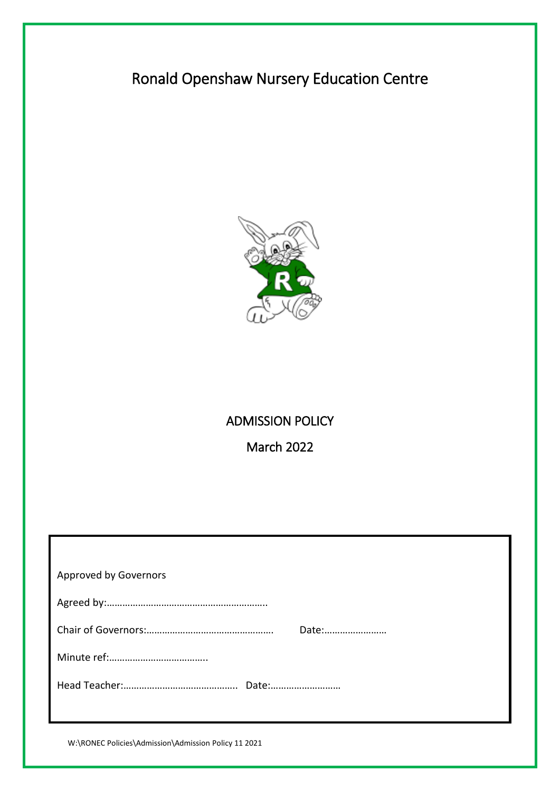# Ronald Openshaw Nursery Education Centre



# ADMISSION POLICY

March 2022

| Approved by Governors |
|-----------------------|
|                       |
| Date:                 |
|                       |
|                       |
|                       |

W:\RONEC Policies\Admission\Admission Policy 11 2021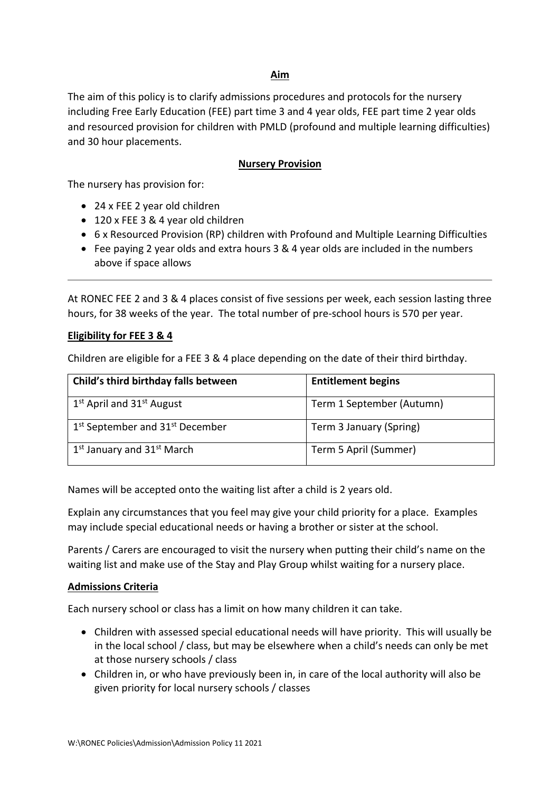# **Aim**

The aim of this policy is to clarify admissions procedures and protocols for the nursery including Free Early Education (FEE) part time 3 and 4 year olds, FEE part time 2 year olds and resourced provision for children with PMLD (profound and multiple learning difficulties) and 30 hour placements.

## **Nursery Provision**

The nursery has provision for:

- 24 x FEE 2 year old children
- 120 x FEE 3 & 4 year old children
- 6 x Resourced Provision (RP) children with Profound and Multiple Learning Difficulties
- Fee paying 2 year olds and extra hours 3 & 4 year olds are included in the numbers above if space allows

At RONEC FEE 2 and 3 & 4 places consist of five sessions per week, each session lasting three hours, for 38 weeks of the year. The total number of pre-school hours is 570 per year.

#### **Eligibility for FEE 3 & 4**

Children are eligible for a FEE 3 & 4 place depending on the date of their third birthday.

| Child's third birthday falls between                    | <b>Entitlement begins</b> |
|---------------------------------------------------------|---------------------------|
| $1st$ April and $31st$ August                           | Term 1 September (Autumn) |
| 1 <sup>st</sup> September and 31 <sup>st</sup> December | Term 3 January (Spring)   |
| 1 <sup>st</sup> January and 31 <sup>st</sup> March      | Term 5 April (Summer)     |

Names will be accepted onto the waiting list after a child is 2 years old.

Explain any circumstances that you feel may give your child priority for a place. Examples may include special educational needs or having a brother or sister at the school.

Parents / Carers are encouraged to visit the nursery when putting their child's name on the waiting list and make use of the Stay and Play Group whilst waiting for a nursery place.

#### **Admissions Criteria**

Each nursery school or class has a limit on how many children it can take.

- Children with assessed special educational needs will have priority. This will usually be in the local school / class, but may be elsewhere when a child's needs can only be met at those nursery schools / class
- Children in, or who have previously been in, in care of the local authority will also be given priority for local nursery schools / classes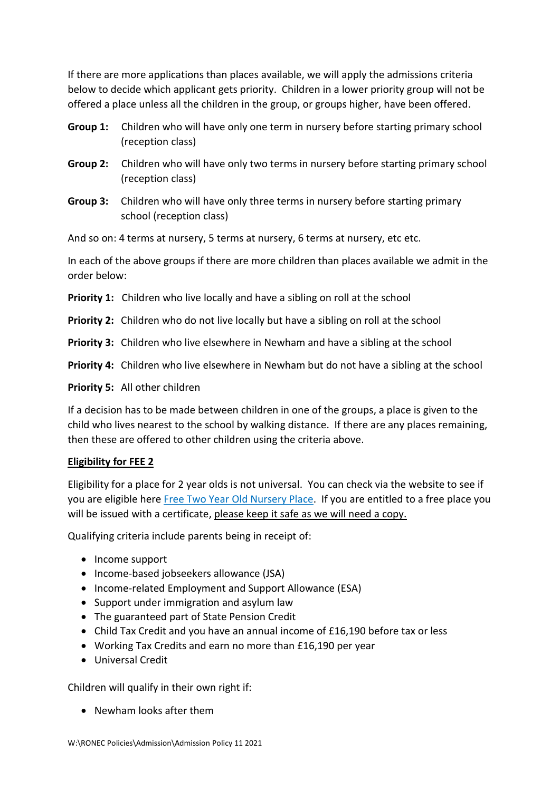If there are more applications than places available, we will apply the admissions criteria below to decide which applicant gets priority. Children in a lower priority group will not be offered a place unless all the children in the group, or groups higher, have been offered.

- **Group 1:** Children who will have only one term in nursery before starting primary school (reception class)
- **Group 2:** Children who will have only two terms in nursery before starting primary school (reception class)
- **Group 3:** Children who will have only three terms in nursery before starting primary school (reception class)

And so on: 4 terms at nursery, 5 terms at nursery, 6 terms at nursery, etc etc.

In each of the above groups if there are more children than places available we admit in the order below:

- **Priority 1:** Children who live locally and have a sibling on roll at the school
- **Priority 2:** Children who do not live locally but have a sibling on roll at the school
- **Priority 3:** Children who live elsewhere in Newham and have a sibling at the school
- **Priority 4:** Children who live elsewhere in Newham but do not have a sibling at the school

**Priority 5:** All other children

If a decision has to be made between children in one of the groups, a place is given to the child who lives nearest to the school by walking distance. If there are any places remaining, then these are offered to other children using the criteria above.

# **Eligibility for FEE 2**

Eligibility for a place for 2 year olds is not universal. You can check via the website to see if you are eligible here [Free Two Year Old Nursery Place.](https://families.newham.gov.uk/kb5/newham/directory/advice.page?familychannel=3&id=Ae-TTzhHRJg) If you are entitled to a free place you will be issued with a certificate, please keep it safe as we will need a copy.

Qualifying criteria include parents being in receipt of:

- Income support
- Income-based jobseekers allowance (JSA)
- Income-related Employment and Support Allowance (ESA)
- Support under immigration and asylum law
- The guaranteed part of State Pension Credit
- Child Tax Credit and you have an annual income of £16,190 before tax or less
- Working Tax Credits and earn no more than £16,190 per year
- Universal Credit

Children will qualify in their own right if:

• Newham looks after them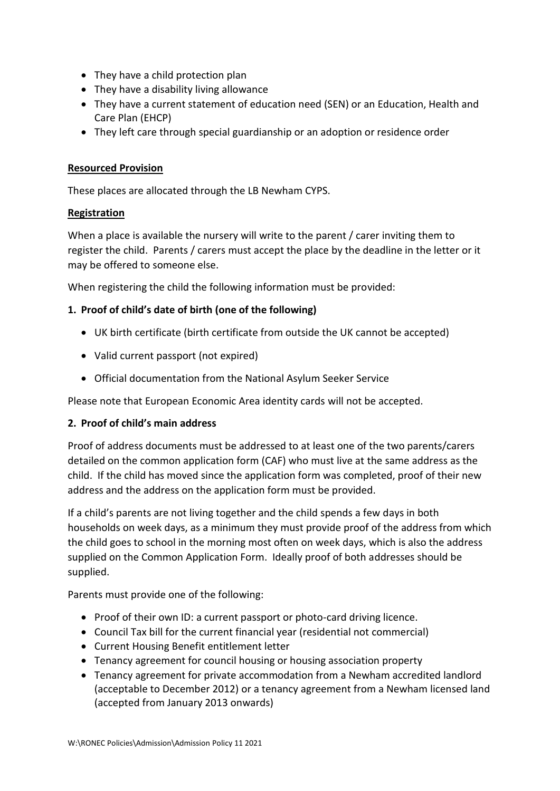- They have a child protection plan
- They have a disability living allowance
- They have a current statement of education need (SEN) or an Education, Health and Care Plan (EHCP)
- They left care through special guardianship or an adoption or residence order

## **Resourced Provision**

These places are allocated through the LB Newham CYPS.

## **Registration**

When a place is available the nursery will write to the parent / carer inviting them to register the child. Parents / carers must accept the place by the deadline in the letter or it may be offered to someone else.

When registering the child the following information must be provided:

# **1. Proof of child's date of birth (one of the following)**

- UK birth certificate (birth certificate from outside the UK cannot be accepted)
- Valid current passport (not expired)
- Official documentation from the National Asylum Seeker Service

Please note that European Economic Area identity cards will not be accepted.

#### **2. Proof of child's main address**

Proof of address documents must be addressed to at least one of the two parents/carers detailed on the common application form (CAF) who must live at the same address as the child. If the child has moved since the application form was completed, proof of their new address and the address on the application form must be provided.

If a child's parents are not living together and the child spends a few days in both households on week days, as a minimum they must provide proof of the address from which the child goes to school in the morning most often on week days, which is also the address supplied on the Common Application Form. Ideally proof of both addresses should be supplied.

Parents must provide one of the following:

- Proof of their own ID: a current passport or photo-card driving licence.
- Council Tax bill for the current financial year (residential not commercial)
- Current Housing Benefit entitlement letter
- Tenancy agreement for council housing or housing association property
- Tenancy agreement for private accommodation from a Newham accredited landlord (acceptable to December 2012) or a tenancy agreement from a Newham licensed land (accepted from January 2013 onwards)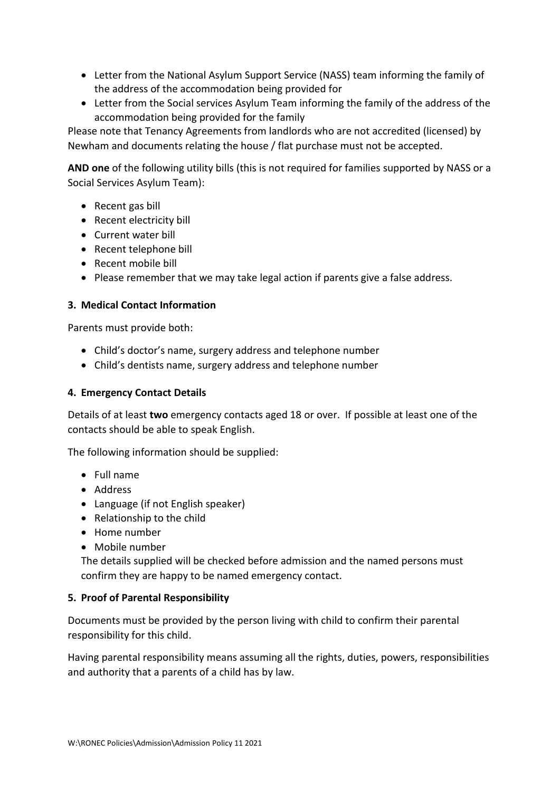- Letter from the National Asylum Support Service (NASS) team informing the family of the address of the accommodation being provided for
- Letter from the Social services Asylum Team informing the family of the address of the accommodation being provided for the family

Please note that Tenancy Agreements from landlords who are not accredited (licensed) by Newham and documents relating the house / flat purchase must not be accepted.

**AND one** of the following utility bills (this is not required for families supported by NASS or a Social Services Asylum Team):

- Recent gas bill
- Recent electricity bill
- Current water bill
- Recent telephone bill
- Recent mobile bill
- Please remember that we may take legal action if parents give a false address.

## **3. Medical Contact Information**

Parents must provide both:

- Child's doctor's name, surgery address and telephone number
- Child's dentists name, surgery address and telephone number

### **4. Emergency Contact Details**

Details of at least **two** emergency contacts aged 18 or over. If possible at least one of the contacts should be able to speak English.

The following information should be supplied:

- Full name
- Address
- Language (if not English speaker)
- Relationship to the child
- Home number
- Mobile number

The details supplied will be checked before admission and the named persons must confirm they are happy to be named emergency contact.

#### **5. Proof of Parental Responsibility**

Documents must be provided by the person living with child to confirm their parental responsibility for this child.

Having parental responsibility means assuming all the rights, duties, powers, responsibilities and authority that a parents of a child has by law.